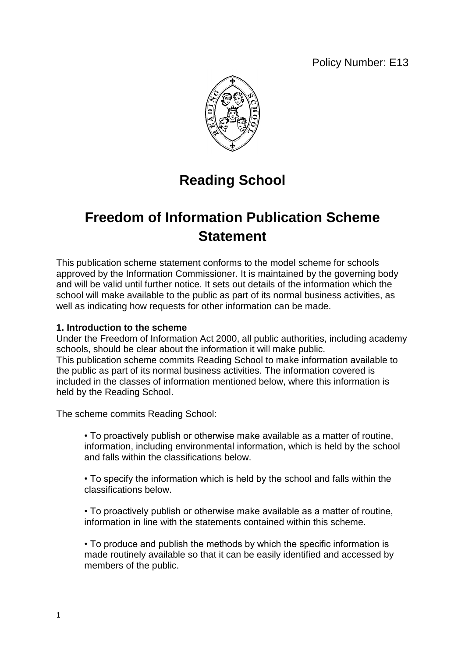Policy Number: E13



# **Reading School**

## **Freedom of Information Publication Scheme Statement**

This publication scheme statement conforms to the model scheme for schools approved by the Information Commissioner. It is maintained by the governing body and will be valid until further notice. It sets out details of the information which the school will make available to the public as part of its normal business activities, as well as indicating how requests for other information can be made.

## **1. Introduction to the scheme**

Under the Freedom of Information Act 2000, all public authorities, including academy schools, should be clear about the information it will make public. This publication scheme commits Reading School to make information available to the public as part of its normal business activities. The information covered is included in the classes of information mentioned below, where this information is held by the Reading School.

The scheme commits Reading School:

• To proactively publish or otherwise make available as a matter of routine, information, including environmental information, which is held by the school and falls within the classifications below.

• To specify the information which is held by the school and falls within the classifications below.

• To proactively publish or otherwise make available as a matter of routine, information in line with the statements contained within this scheme.

• To produce and publish the methods by which the specific information is made routinely available so that it can be easily identified and accessed by members of the public.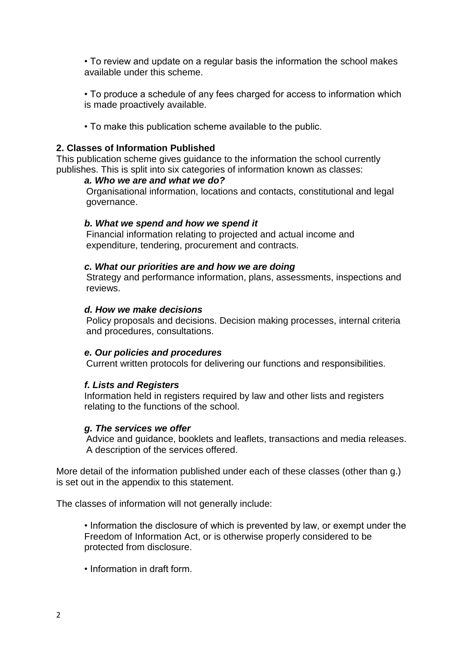• To review and update on a regular basis the information the school makes available under this scheme.

• To produce a schedule of any fees charged for access to information which is made proactively available.

• To make this publication scheme available to the public.

## **2. Classes of Information Published**

This publication scheme gives guidance to the information the school currently publishes. This is split into six categories of information known as classes:

## *a. Who we are and what we do?*

Organisational information, locations and contacts, constitutional and legal governance.

## *b. What we spend and how we spend it*

Financial information relating to projected and actual income and expenditure, tendering, procurement and contracts.

## *c. What our priorities are and how we are doing*

Strategy and performance information, plans, assessments, inspections and reviews.

## *d. How we make decisions*

Policy proposals and decisions. Decision making processes, internal criteria and procedures, consultations.

### *e. Our policies and procedures*

Current written protocols for delivering our functions and responsibilities.

## *f. Lists and Registers*

Information held in registers required by law and other lists and registers relating to the functions of the school.

### *g. The services we offer*

Advice and guidance, booklets and leaflets, transactions and media releases. A description of the services offered.

More detail of the information published under each of these classes (other than g.) is set out in the appendix to this statement.

The classes of information will not generally include:

• Information the disclosure of which is prevented by law, or exempt under the Freedom of Information Act, or is otherwise properly considered to be protected from disclosure.

• Information in draft form.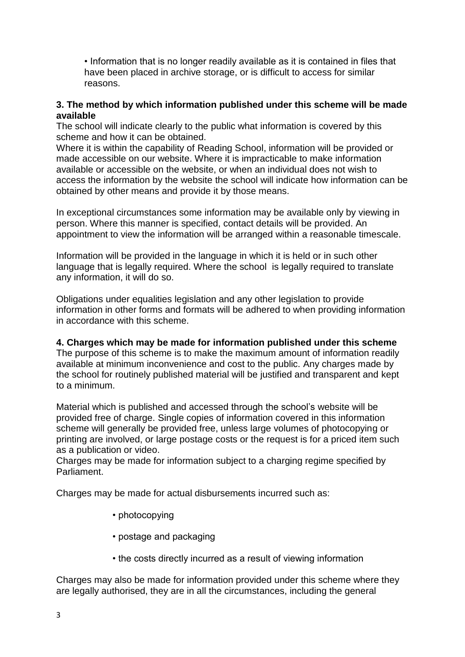• Information that is no longer readily available as it is contained in files that have been placed in archive storage, or is difficult to access for similar reasons.

## **3. The method by which information published under this scheme will be made available**

The school will indicate clearly to the public what information is covered by this scheme and how it can be obtained.

Where it is within the capability of Reading School, information will be provided or made accessible on our website. Where it is impracticable to make information available or accessible on the website, or when an individual does not wish to access the information by the website the school will indicate how information can be obtained by other means and provide it by those means.

In exceptional circumstances some information may be available only by viewing in person. Where this manner is specified, contact details will be provided. An appointment to view the information will be arranged within a reasonable timescale.

Information will be provided in the language in which it is held or in such other language that is legally required. Where the school is legally required to translate any information, it will do so.

Obligations under equalities legislation and any other legislation to provide information in other forms and formats will be adhered to when providing information in accordance with this scheme.

## **4. Charges which may be made for information published under this scheme**

The purpose of this scheme is to make the maximum amount of information readily available at minimum inconvenience and cost to the public. Any charges made by the school for routinely published material will be justified and transparent and kept to a minimum.

Material which is published and accessed through the school's website will be provided free of charge. Single copies of information covered in this information scheme will generally be provided free, unless large volumes of photocopying or printing are involved, or large postage costs or the request is for a priced item such as a publication or video.

Charges may be made for information subject to a charging regime specified by Parliament.

Charges may be made for actual disbursements incurred such as:

- photocopying
- postage and packaging
- the costs directly incurred as a result of viewing information

Charges may also be made for information provided under this scheme where they are legally authorised, they are in all the circumstances, including the general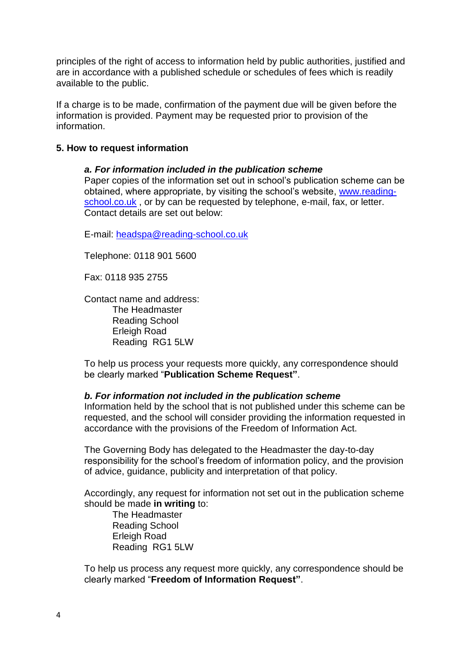principles of the right of access to information held by public authorities, justified and are in accordance with a published schedule or schedules of fees which is readily available to the public.

If a charge is to be made, confirmation of the payment due will be given before the information is provided. Payment may be requested prior to provision of the information.

## **5. How to request information**

## *a. For information included in the publication scheme*

Paper copies of the information set out in school's publication scheme can be obtained, where appropriate, by visiting the school's website, [www.reading](http://www.reading-school.co.uk/)[school.co.uk](http://www.reading-school.co.uk/), or by can be requested by telephone, e-mail, fax, or letter. Contact details are set out below:

E-mail: [headspa@reading-school.co.uk](mailto:headspa@reading-school.co.uk)

Telephone: 0118 901 5600

Fax: 0118 935 2755

Contact name and address: The Headmaster Reading School Erleigh Road Reading RG1 5LW

To help us process your requests more quickly, any correspondence should be clearly marked "**Publication Scheme Request"**.

### *b. For information not included in the publication scheme*

Information held by the school that is not published under this scheme can be requested, and the school will consider providing the information requested in accordance with the provisions of the Freedom of Information Act.

The Governing Body has delegated to the Headmaster the day-to-day responsibility for the school's freedom of information policy, and the provision of advice, guidance, publicity and interpretation of that policy.

Accordingly, any request for information not set out in the publication scheme should be made **in writing** to:

The Headmaster Reading School Erleigh Road Reading RG1 5LW

To help us process any request more quickly, any correspondence should be clearly marked "**Freedom of Information Request"**.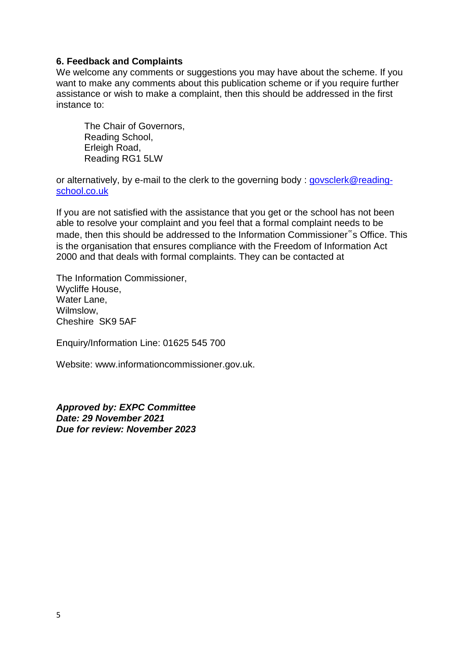## **6. Feedback and Complaints**

We welcome any comments or suggestions you may have about the scheme. If you want to make any comments about this publication scheme or if you require further assistance or wish to make a complaint, then this should be addressed in the first instance to:

The Chair of Governors, Reading School, Erleigh Road, Reading RG1 5LW

or alternatively, by e-mail to the clerk to the governing body : [govsclerk@reading](mailto:govsclerk@reading-school.co.uk)[school.co.uk](mailto:govsclerk@reading-school.co.uk)

If you are not satisfied with the assistance that you get or the school has not been able to resolve your complaint and you feel that a formal complaint needs to be made, then this should be addressed to the Information Commissioner"s Office. This is the organisation that ensures compliance with the Freedom of Information Act 2000 and that deals with formal complaints. They can be contacted at

The Information Commissioner, Wycliffe House, Water Lane, Wilmslow, Cheshire SK9 5AF

Enquiry/Information Line: 01625 545 700

Website: www.informationcommissioner.gov.uk.

*Approved by: EXPC Committee Date: 29 November 2021 Due for review: November 2023*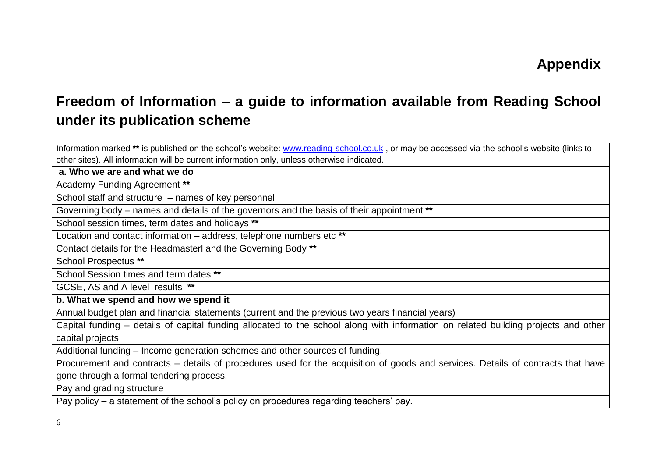## **Freedom of Information – a guide to information available from Reading School under its publication scheme**

Information marked **\*\*** is published on the school's website: [www.reading-school.co.uk](http://www.reading-school.co.uk/) , or may be accessed via the school's website (links to other sites). All information will be current information only, unless otherwise indicated.

**a. Who we are and what we do**

Academy Funding Agreement **\*\***

School staff and structure – names of key personnel

Governing body – names and details of the governors and the basis of their appointment **\*\***

School session times, term dates and holidays **\*\***

Location and contact information – address, telephone numbers etc **\*\***

Contact details for the Headmasterl and the Governing Body **\*\***

School Prospectus **\*\***

School Session times and term dates **\*\***

GCSE, AS and A level results **\*\***

**b. What we spend and how we spend it**

Annual budget plan and financial statements (current and the previous two years financial years)

Capital funding – details of capital funding allocated to the school along with information on related building projects and other capital projects

Additional funding – Income generation schemes and other sources of funding.

Procurement and contracts – details of procedures used for the acquisition of goods and services. Details of contracts that have gone through a formal tendering process.

Pay and grading structure

Pay policy – a statement of the school's policy on procedures regarding teachers' pay.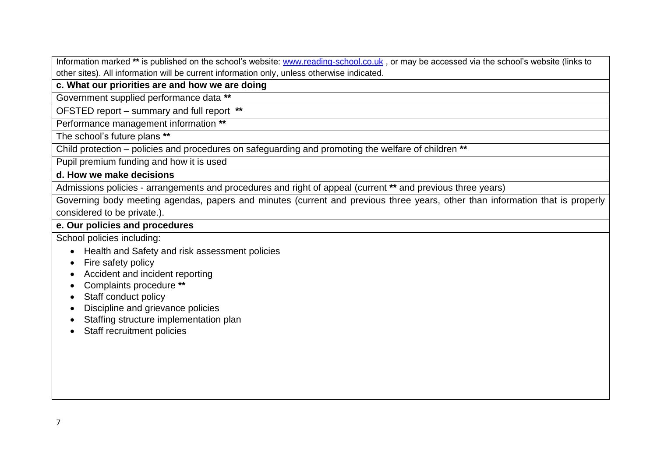Information marked **\*\*** is published on the school's website: [www.reading-school.co.uk](http://www.reading-school.co.uk/) , or may be accessed via the school's website (links to other sites). All information will be current information only, unless otherwise indicated.

## **c. What our priorities are and how we are doing**

Government supplied performance data **\*\***

OFSTED report – summary and full report **\*\***

Performance management information **\*\***

The school's future plans **\*\*** 

Child protection – policies and procedures on safeguarding and promoting the welfare of children **\*\***

Pupil premium funding and how it is used

## **d. How we make decisions**

Admissions policies - arrangements and procedures and right of appeal (current **\*\*** and previous three years)

Governing body meeting agendas, papers and minutes (current and previous three years, other than information that is properly considered to be private.).

## **e. Our policies and procedures**

School policies including:

- Health and Safety and risk assessment policies
- Fire safety policy
- Accident and incident reporting
- Complaints procedure **\*\***
- Staff conduct policy
- Discipline and grievance policies
- Staffing structure implementation plan
- Staff recruitment policies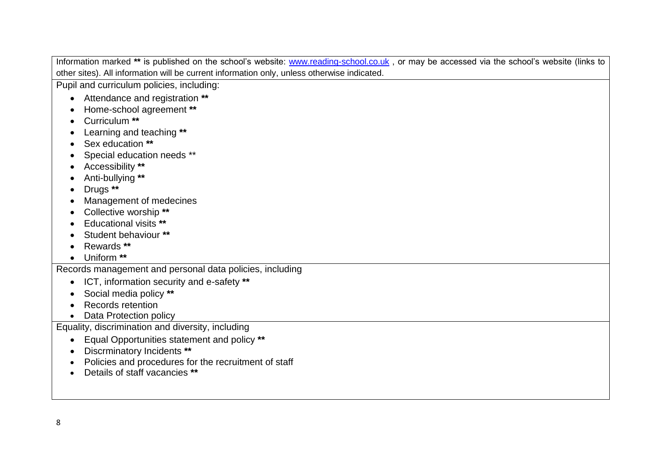Information marked **\*\*** is published on the school's website: [www.reading-school.co.uk](http://www.reading-school.co.uk/) , or may be accessed via the school's website (links to other sites). All information will be current information only, unless otherwise indicated. Pupil and curriculum policies, including: Attendance and registration **\*\*** Home-school agreement **\*\*** Curriculum **\*\*** Learning and teaching **\*\***

- Sex education **\*\***
- Special education needs \*\*
- Accessibility **\*\***
- Anti-bullying **\*\***
- Drugs **\*\***
- Management of medecines
- Collective worship **\*\***
- Educational visits **\*\***
- Student behaviour **\*\***
- Rewards **\*\***
- Uniform **\*\***

Records management and personal data policies, including

- ICT, information security and e-safety **\*\***
- Social media policy **\*\***
- Records retention
- Data Protection policy

Equality, discrimination and diversity, including

- Equal Opportunities statement and policy **\*\***
- Discrminatory Incidents **\*\***
- Policies and procedures for the recruitment of staff
- Details of staff vacancies **\*\***